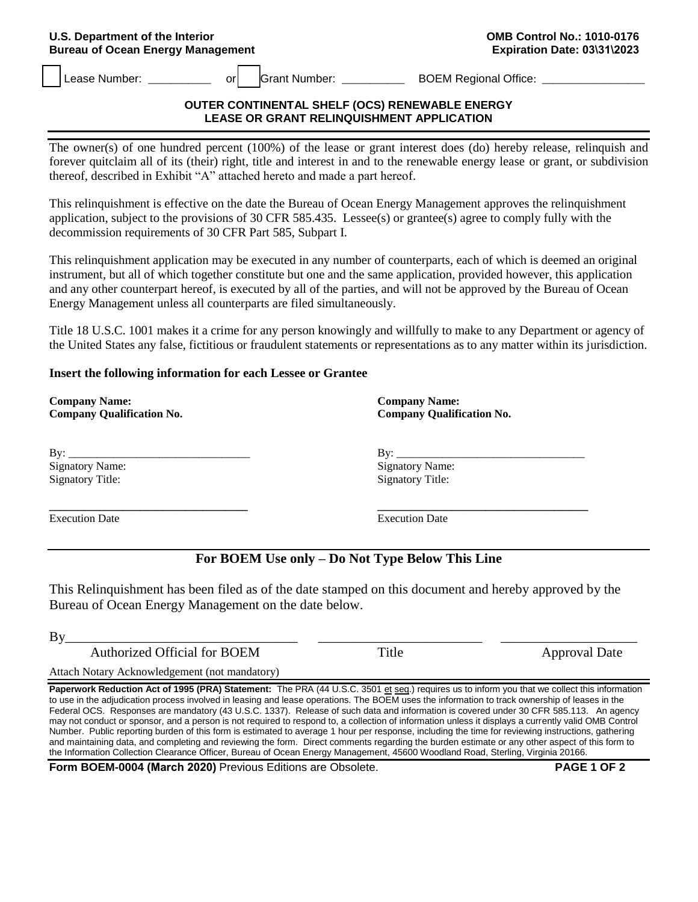#### **U.S. Department of the Interior Bureau of Ocean Energy Management**

Lease Number: \_\_\_\_\_\_\_\_\_\_\_\_\_\_\_\_ or | Crant Number: \_\_\_\_\_\_\_\_\_\_\_\_\_\_\_\_BOEM Regional Office: \_\_\_

#### **OUTER CONTINENTAL SHELF (OCS) RENEWABLE ENERGY LEASE OR GRANT RELINQUISHMENT APPLICATION**

The owner(s) of one hundred percent (100%) of the lease or grant interest does (do) hereby release, relinquish and forever quitclaim all of its (their) right, title and interest in and to the renewable energy lease or grant, or subdivision thereof, described in Exhibit "A" attached hereto and made a part hereof.

This relinquishment is effective on the date the Bureau of Ocean Energy Management approves the relinquishment application, subject to the provisions of 30 CFR 585.435. Lessee(s) or grantee(s) agree to comply fully with the decommission requirements of 30 CFR Part 585, Subpart I.

This relinquishment application may be executed in any number of counterparts, each of which is deemed an original instrument, but all of which together constitute but one and the same application, provided however, this application and any other counterpart hereof, is executed by all of the parties, and will not be approved by the Bureau of Ocean Energy Management unless all counterparts are filed simultaneously.

Title 18 U.S.C. 1001 makes it a crime for any person knowingly and willfully to make to any Department or agency of the United States any false, fictitious or fraudulent statements or representations as to any matter within its jurisdiction.

## **Insert the following information for each Lessee or Grantee**

**Company Name: Company Qualification No.** 

By:  $\Box$ Signatory Name: Signatory Title:

Execution Date Execution Date

**Company Name: Company Qualification No.** 

By: \_\_\_\_\_\_\_\_\_\_\_\_\_\_\_\_\_\_\_\_\_\_\_\_\_\_\_\_\_\_\_\_\_ Signatory Name: Signatory Title:

# **For BOEM Use only – Do Not Type Below This Line**

This Relinquishment has been filed as of the date stamped on this document and hereby approved by the Bureau of Ocean Energy Management on the date below.

| By                                                                                                                                   |               |
|--------------------------------------------------------------------------------------------------------------------------------------|---------------|
| Authorized Official for BOEM                                                                                                         | Approval Date |
| $\cdots$ $\cdots$<br>the contract of the contract of the contract of the contract of the contract of the contract of the contract of |               |

Attach Notary Acknowledgement (not mandatory)

**\_\_\_\_\_\_\_\_\_\_\_\_\_\_\_\_\_\_\_\_\_\_\_\_\_\_\_\_\_\_\_\_\_\_\_** 

Paperwork Reduction Act of 1995 (PRA) Statement: The PRA (44 U.S.C. 3501 et seq.) requires us to inform you that we collect this information to use in the adjudication process involved in leasing and lease operations. The BOEM uses the information to track ownership of leases in the Federal OCS. Responses are mandatory (43 U.S.C. 1337). Release of such data and information is covered under 30 CFR 585.113. An agency may not conduct or sponsor, and a person is not required to respond to, a collection of information unless it displays a currently valid OMB Control Number. Public reporting burden of this form is estimated to average 1 hour per response, including the time for reviewing instructions, gathering and maintaining data, and completing and reviewing the form. Direct comments regarding the burden estimate or any other aspect of this form to the Information Collection Clearance Officer, Bureau of Ocean Energy Management, 45600 Woodland Road, Sterling, Virginia 20166.

**Form BOEM-0004 (March 2020)** Previous Editions are Obsolete. **PAGE 1 OF 2**



**\_\_\_\_\_\_\_\_\_\_\_\_\_\_\_\_\_\_\_\_\_\_\_\_\_\_\_\_\_\_\_\_\_\_\_\_\_**